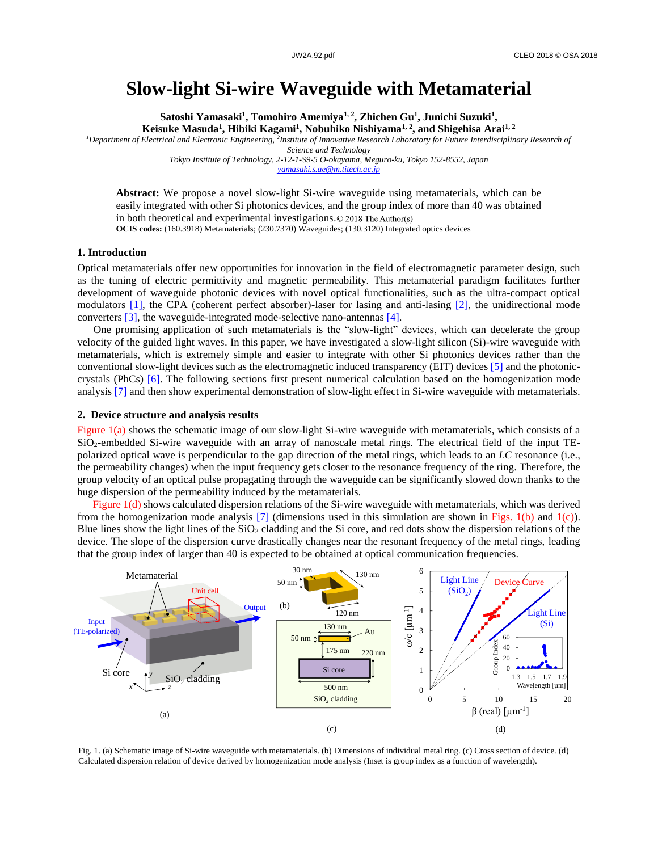# **Slow-light Si-wire Waveguide with Metamaterial**

**Satoshi Yamasaki<sup>1</sup> , Tomohiro Amemiya1, <sup>2</sup> , Zhichen Gu<sup>1</sup> , Junichi Suzuki<sup>1</sup> , Keisuke Masuda<sup>1</sup> , Hibiki Kagami<sup>1</sup> , Nobuhiko Nishiyama1, 2 , and Shigehisa Arai1, <sup>2</sup>**

<sup>*1</sup>* Department of Electrical and Electronic Engineering, <sup>2</sup> Institute of Innovative Research Laboratory for Future Interdisciplinary Research of</sup>

*Science and Technology*

*Tokyo Institute of Technology, 2-12-1-S9-5 O-okayama, Meguro-ku, Tokyo 152-8552, Japan*

*yamasaki.s.ae@m.titech.ac.jp*

**Abstract:** We propose a novel slow-light Si-wire waveguide using metamaterials, which can be easily integrated with other Si photonics devices, and the group index of more than 40 was obtained in both theoretical and experimental investigations.© 2018 The Author(s) **OCIS codes:** (160.3918) Metamaterials; (230.7370) Waveguides; (130.3120) Integrated optics devices

## **1. Introduction**

Optical metamaterials offer new opportunities for innovation in the field of electromagnetic parameter design, such as the tuning of electric permittivity and magnetic permeability. This metamaterial paradigm facilitates further development of waveguide photonic devices with novel optical functionalities, such as the ultra-compact optical modulators [1], the CPA (coherent perfect absorber)-laser for lasing and anti-lasing [2], the unidirectional mode converters [3], the waveguide-integrated mode-selective nano-antennas [4].

One promising application of such metamaterials is the "slow-light" devices, which can decelerate the group velocity of the guided light waves. In this paper, we have investigated a slow-light silicon (Si)-wire waveguide with metamaterials, which is extremely simple and easier to integrate with other Si photonics devices rather than the conventional slow-light devices such as the electromagnetic induced transparency (EIT) devices [5] and the photoniccrystals (PhCs) [6]. The following sections first present numerical calculation based on the homogenization mode analysis [7] and then show experimental demonstration of slow-light effect in Si-wire waveguide with metamaterials.

## **2. Device structure and analysis results**

Figure 1(a) shows the schematic image of our slow-light Si-wire waveguide with metamaterials, which consists of a SiO2-embedded Si-wire waveguide with an array of nanoscale metal rings. The electrical field of the input TEpolarized optical wave is perpendicular to the gap direction of the metal rings, which leads to an *LC* resonance (i.e., the permeability changes) when the input frequency gets closer to the resonance frequency of the ring. Therefore, the group velocity of an optical pulse propagating through the waveguide can be significantly slowed down thanks to the huge dispersion of the permeability induced by the metamaterials.

Figure 1(d) shows calculated dispersion relations of the Si-wire waveguide with metamaterials, which was derived from the homogenization mode analysis  $[7]$  (dimensions used in this simulation are shown in Figs. 1(b) and 1(c)). Blue lines show the light lines of the  $SiO<sub>2</sub>$  cladding and the Si core, and red dots show the dispersion relations of the device. The slope of the dispersion curve drastically changes near the resonant frequency of the metal rings, leading that the group index of larger than 40 is expected to be obtained at optical communication frequencies.



Fig. 1. (a) Schematic image of Si-wire waveguide with metamaterials. (b) Dimensions of individual metal ring. (c) Cross section of device. (d) Calculated dispersion relation of device derived by homogenization mode analysis (Inset is group index as a function of wavelength).